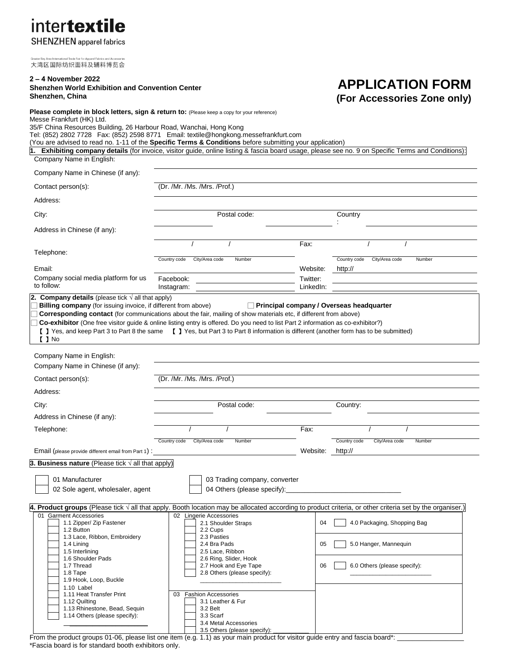| <b>inter<b>textile</b></b>      |  |  |  |  |  |
|---------------------------------|--|--|--|--|--|
| <b>SHENZHEN</b> annarel fabrics |  |  |  |  |  |

大湾区国际纺织面料及辅料博览会

1.9 Hook, Loop, Buckle 1.10 Label<br>1.11 Heat Transfer Print

#### **2 – 4 November 2022 Shenzhen World Exhibition and Convention Center Shenzhen, China Please complete in block letters, sign & return to:** (Please keep a copy for your reference) Messe Frankfurt (HK) Ltd. 35/F China Resources Building, 26 Harbour Road, Wanchai, Hong Kong Tel: (852) 2802 7728 Fax: (852) 2598 8771 Email: textile@hongkong.messefrankfurt.com (You are advised to read no. 1-11 of the **Specific Terms & Conditions** before submitting your application) **1. Exhibiting company details** (for invoice, visitor guide, online listing & fascia board usage, please see no. 9 on Specific Terms and Conditions): Company Name in English: Company Name in Chinese (if any): Contact person(s): (Dr. /Mr. /Ms. /Mrs. /Prof.) Address: City: City: City: Country Country Country Country Country Postal code: Country Country Country : Address in Chinese (if any): Telephone: / / Fax: / / Email: Country code City/Area code Number Website: Country code City/Area code Number http:// Company social media platform for us to follow: Facebook: Instagram: Twitter: LinkedIn: **2. Company details** (please tick √ all that apply) □ **Billing company** (for issuing invoice, if different from above) □ **Principal company / Overseas headquarter Corresponding contact** (for communications about the fair, mailing of show materials etc, if different from above) □ **Co-exhibitor** (One free visitor guide & online listing entry is offered. Do you need to list Part 2 information as co-exhibitor?) 【 】Yes, and keep Part 3 to Part 8 the same 【 】Yes, but Part 3 to Part 8 information is different (another form has to be submitted) 【 】No Company Name in English: Company Name in Chinese (if any): Contact person(s): (Dr. /Mr. /Ms. /Mrs. /Prof.) Address: City: City: Country: Country: Country: Country: Country: Country: Country: Country: Country: Country: Country: Address in Chinese (if any): Telephone: / / Fax: / / Email (please provide different email from Part 1) : Country code City/Area code Number Website: Country code City/Area code Number http:// **3. Business nature** (Please tick √ all that apply) 01 Manufacturer **01 Manufacturer 12** O3 Trading company, converter 02 Sole agent, wholesaler, agent 04 Others (please specify): **4. Product groups** (Please tick √ all that apply. Booth location may be allocated according to product criteria, or other criteria set by the organiser.) 01 Garment Accessories<br>
1.1 Zioper/ Zip Fastener<br>
1.2.1 Shoulder Straps 1.1 Zipper/ Zip Fastener 2.2 Cups 04 4.0 Packaging, Shopping Bag 1.2 Button 1.3 Lace, Ribbon, Embroidery 2.3 Pasties<br>1.4 Lining 2.4 Bra Pads 1.4 Lining **1.4 Lining 1.4 Lining 1.4 Lining 1.4 Lining 1.4 Lining 1.4 Lining 1.4 Lining 1.4 Lining 1.4 Lining 1.4 Lining 1.4 Lining 1.4 Lining 1.4 Lining 1.4 Lining 1.4 Lining 1.4 Lining 1.4 Lining 1.4 Lining 1.4 Lining 1** 1.5 Interlining 2.5 Lace, Ribbon 1.6 Shoulder Pads<br>1.7 Thread 2.7 Hook and Eve Tape 1.7 Thread 2.7 Hook and Eye Tape  $\begin{array}{|c|c|c|c|c|}\n\hline\n\text{1.8} \text{ Tape} & \text{2.8} \text{ Others (please specify)} \\
\hline\n\text{2.8} \text{ Others (please specify)} & \text{2.9} \text{ others (please specify)} \\
\hline\n\end{array}$ **APPLICATION FORM (For Accessories Zone only)**

3.5 Others (please specify): From the product groups 01-06, please list one item (e.g. 1.1) as your main product for visitor guide entry and fascia board\*: \*Fascia board is for standard booth exhibitors only.

03 Fashion Accessories

1.12 Quilting 2.1 Leather & Furnit 1.12 Quilting 1.13 Rhinestone, Bead, Sequin **1.13 Rhinestone**, Bead, Sequin 1.14 Others (please specify): <br> 3.3 Scarf

2.8 Others (please specify):

\_\_\_\_\_\_\_\_\_\_\_\_\_\_\_\_\_\_\_\_\_\_\_\_ 3.4 Metal Accessories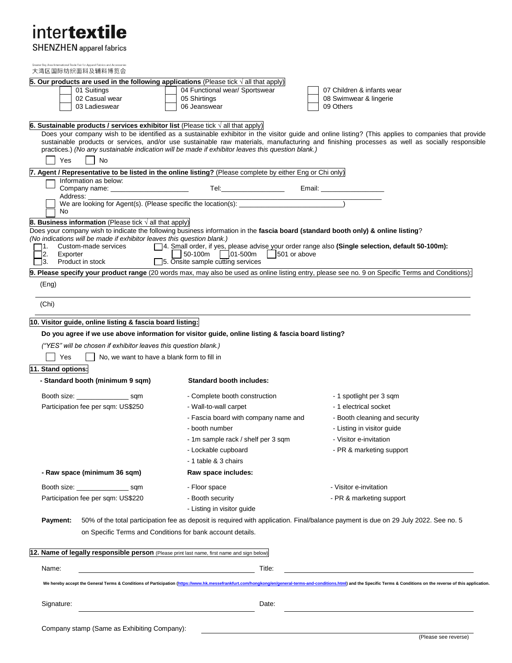# intertextile

**SHENZHEN** apparel fabrics

| Greater Bay Area International Trade Fair for Apparel Fabrics and Accessories<br>大湾区国际纺织面料及辅料博览会                                  |                                                                                                    |                                                                                                                                                                                                                            |
|-----------------------------------------------------------------------------------------------------------------------------------|----------------------------------------------------------------------------------------------------|----------------------------------------------------------------------------------------------------------------------------------------------------------------------------------------------------------------------------|
| 5. Our products are used in the following applications (Please tick $\sqrt{ }$ all that apply)                                    |                                                                                                    |                                                                                                                                                                                                                            |
| 01 Suitings                                                                                                                       | 04 Functional wear/ Sportswear                                                                     | 07 Children & infants wear                                                                                                                                                                                                 |
| 02 Casual wear                                                                                                                    | 05 Shirtings                                                                                       | 08 Swimwear & lingerie                                                                                                                                                                                                     |
| 03 Ladieswear                                                                                                                     | 06 Jeanswear                                                                                       | 09 Others                                                                                                                                                                                                                  |
| 6. Sustainable products / services exhibitor list (Please tick $\sqrt{ }$ all that apply)                                         |                                                                                                    |                                                                                                                                                                                                                            |
|                                                                                                                                   |                                                                                                    | Does your company wish to be identified as a sustainable exhibitor in the visitor guide and online listing? (This applies to companies that provide                                                                        |
|                                                                                                                                   | practices.) (No any sustainable indication will be made if exhibitor leaves this question blank.)  | sustainable products or services, and/or use sustainable raw materials, manufacturing and finishing processes as well as socially responsible                                                                              |
| Yes<br><b>No</b>                                                                                                                  |                                                                                                    |                                                                                                                                                                                                                            |
| 7. Agent / Representative to be listed in the online listing? (Please complete by either Eng or Chi only)                         |                                                                                                    |                                                                                                                                                                                                                            |
| Information as below:                                                                                                             |                                                                                                    |                                                                                                                                                                                                                            |
| Company name: ________________________                                                                                            |                                                                                                    | Email: ______________                                                                                                                                                                                                      |
| Address: _                                                                                                                        | We are looking for Agent(s). (Please specific the location(s):                                     |                                                                                                                                                                                                                            |
| No                                                                                                                                |                                                                                                    |                                                                                                                                                                                                                            |
| 8. Business information (Please tick $\sqrt{ }$ all that apply)                                                                   |                                                                                                    |                                                                                                                                                                                                                            |
| Does your company wish to indicate the following business information in the fascia board (standard booth only) & online listing? |                                                                                                    |                                                                                                                                                                                                                            |
| (No indications will be made if exhibitor leaves this question blank.)                                                            |                                                                                                    | □ 4. Small order, if yes, please advise your order range also (Single selection, default 50-100m):                                                                                                                         |
| Custom-made services<br>2.<br>Exporter                                                                                            | 50-100m 01-500m<br>$\vert$ 501 or above                                                            |                                                                                                                                                                                                                            |
| Product in stock<br>$\vert 3.$                                                                                                    | $\Box$ 5. Onsite sample cutting services                                                           |                                                                                                                                                                                                                            |
|                                                                                                                                   |                                                                                                    | 9. Please specify your product range (20 words max, may also be used as online listing entry, please see no. 9 on Specific Terms and Conditions):                                                                          |
| (Eng)                                                                                                                             |                                                                                                    |                                                                                                                                                                                                                            |
|                                                                                                                                   |                                                                                                    |                                                                                                                                                                                                                            |
| (Chi)                                                                                                                             |                                                                                                    |                                                                                                                                                                                                                            |
| 10. Visitor guide, online listing & fascia board listing:                                                                         |                                                                                                    |                                                                                                                                                                                                                            |
|                                                                                                                                   | Do you agree if we use above information for visitor guide, online listing & fascia board listing? |                                                                                                                                                                                                                            |
|                                                                                                                                   |                                                                                                    |                                                                                                                                                                                                                            |
| ("YES" will be chosen if exhibitor leaves this question blank.)                                                                   |                                                                                                    |                                                                                                                                                                                                                            |
| Yes<br>No, we want to have a blank form to fill in                                                                                |                                                                                                    |                                                                                                                                                                                                                            |
| 11. Stand options:                                                                                                                |                                                                                                    |                                                                                                                                                                                                                            |
| - Standard booth (minimum 9 sqm)                                                                                                  | <b>Standard booth includes:</b>                                                                    |                                                                                                                                                                                                                            |
| Booth size: sqm                                                                                                                   | - Complete booth construction                                                                      | - 1 spotlight per 3 sqm                                                                                                                                                                                                    |
| Participation fee per sqm: US\$250                                                                                                | - Wall-to-wall carpet                                                                              | - 1 electrical socket                                                                                                                                                                                                      |
|                                                                                                                                   |                                                                                                    |                                                                                                                                                                                                                            |
|                                                                                                                                   | - Fascia board with company name and                                                               | - Booth cleaning and security                                                                                                                                                                                              |
|                                                                                                                                   | - booth number                                                                                     | - Listing in visitor guide                                                                                                                                                                                                 |
|                                                                                                                                   | - 1m sample rack / shelf per 3 sqm                                                                 | - Visitor e-invitation                                                                                                                                                                                                     |
|                                                                                                                                   | - Lockable cupboard                                                                                | - PR & marketing support                                                                                                                                                                                                   |
|                                                                                                                                   | - 1 table & 3 chairs                                                                               |                                                                                                                                                                                                                            |
| - Raw space (minimum 36 sqm)                                                                                                      | Raw space includes:                                                                                |                                                                                                                                                                                                                            |
| Booth size: _____________________ sqm                                                                                             | - Floor space                                                                                      | - Visitor e-invitation                                                                                                                                                                                                     |
| Participation fee per sqm: US\$220                                                                                                | - Booth security                                                                                   | - PR & marketing support                                                                                                                                                                                                   |
|                                                                                                                                   | - Listing in visitor guide                                                                         |                                                                                                                                                                                                                            |
|                                                                                                                                   |                                                                                                    |                                                                                                                                                                                                                            |
| Payment:                                                                                                                          |                                                                                                    | 50% of the total participation fee as deposit is required with application. Final/balance payment is due on 29 July 2022. See no. 5                                                                                        |
|                                                                                                                                   | on Specific Terms and Conditions for bank account details.                                         |                                                                                                                                                                                                                            |
| 12. Name of legally responsible person (Please print last name, first name and sign below)                                        |                                                                                                    |                                                                                                                                                                                                                            |
|                                                                                                                                   |                                                                                                    |                                                                                                                                                                                                                            |
| Name:                                                                                                                             | Title:                                                                                             |                                                                                                                                                                                                                            |
|                                                                                                                                   |                                                                                                    |                                                                                                                                                                                                                            |
|                                                                                                                                   |                                                                                                    | We hereby accept the General Terms & Conditions of Participation (https://www.hk.messefrankfurt.com/hongkong/en/general-terms-and-conditions.html) and the Specific Terms & Conditions on the reverse of this application. |
|                                                                                                                                   |                                                                                                    |                                                                                                                                                                                                                            |
| Signature:                                                                                                                        | Date:                                                                                              |                                                                                                                                                                                                                            |
|                                                                                                                                   |                                                                                                    |                                                                                                                                                                                                                            |
| Company stamp (Same as Exhibiting Company):                                                                                       |                                                                                                    |                                                                                                                                                                                                                            |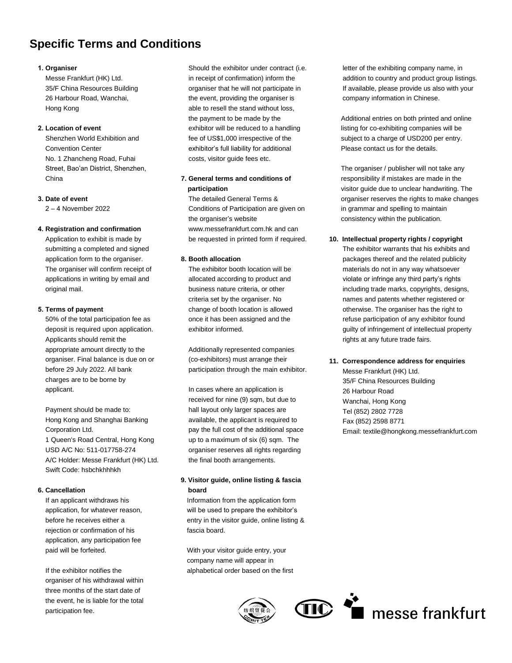## **Specific Terms and Conditions**

### **1. Organiser**

Messe Frankfurt (HK) Ltd. 35/F China Resources Building 26 Harbour Road, Wanchai, Hong Kong

## **2. Location of event**

Shenzhen World Exhibition and Convention Center No. 1 Zhancheng Road, Fuhai Street, Bao'an District, Shenzhen, China

### **3. Date of event**

2 – 4 November 2022

### **4. Registration and confirmation**

Application to exhibit is made by submitting a completed and signed application form to the organiser. The organiser will confirm receipt of applications in writing by email and original mail.

### **5. Terms of payment**

50% of the total participation fee as deposit is required upon application. Applicants should remit the appropriate amount directly to the organiser. Final balance is due on or before 29 July 2022. All bank charges are to be borne by applicant.

Payment should be made to: Hong Kong and Shanghai Banking Corporation Ltd. 1 Queen's Road Central, Hong Kong USD A/C No: 511-017758-274 A/C Holder: Messe Frankfurt (HK) Ltd. Swift Code: hsbchkhhhkh

### **6. Cancellation**

If an applicant withdraws his application, for whatever reason, before he receives either a rejection or confirmation of his application, any participation fee paid will be forfeited.

If the exhibitor notifies the organiser of his withdrawal within three months of the start date of the event, he is liable for the total participation fee.

Should the exhibitor under contract (i.e. in receipt of confirmation) inform the organiser that he will not participate in the event, providing the organiser is able to resell the stand without loss, the payment to be made by the exhibitor will be reduced to a handling fee of US\$1,000 irrespective of the exhibitor's full liability for additional costs, visitor guide fees etc.

## **7. General terms and conditions of participation**

The detailed General Terms & Conditions of Participation are given on the organiser's website www.messefrankfurt.com.hk and can be requested in printed form if required.

### **8. Booth allocation**

The exhibitor booth location will be allocated according to product and business nature criteria, or other criteria set by the organiser. No change of booth location is allowed once it has been assigned and the exhibitor informed.

Additionally represented companies (co-exhibitors) must arrange their participation through the main exhibitor.

In cases where an application is received for nine (9) sqm, but due to hall layout only larger spaces are available, the applicant is required to pay the full cost of the additional space up to a maximum of six (6) sqm. The organiser reserves all rights regarding the final booth arrangements.

## **9. Visitor guide, online listing & fascia board**

Information from the application form will be used to prepare the exhibitor's entry in the visitor guide, online listing & fascia board.

With your visitor guide entry, your company name will appear in alphabetical order based on the first



 letter of the exhibiting company name, in addition to country and product group listings. If available, please provide us also with your company information in Chinese.

Additional entries on both printed and online listing for co-exhibiting companies will be subject to a charge of USD200 per entry. Please contact us for the details.

The organiser / publisher will not take any responsibility if mistakes are made in the visitor guide due to unclear handwriting. The organiser reserves the rights to make changes in grammar and spelling to maintain consistency within the publication.

### **10. Intellectual property rights / copyright**

The exhibitor warrants that his exhibits and packages thereof and the related publicity materials do not in any way whatsoever violate or infringe any third party's rights including trade marks, copyrights, designs, names and patents whether registered or otherwise. The organiser has the right to refuse participation of any exhibitor found guilty of infringement of intellectual property rights at any future trade fairs.

## **11. Correspondence address for enquiries**

Messe Frankfurt (HK) Ltd. 35/F China Resources Building 26 Harbour Road Wanchai, Hong Kong Tel (852) 2802 7728 Fax (852) 2598 8771 Email: textile@hongkong.messefrankfurt.com

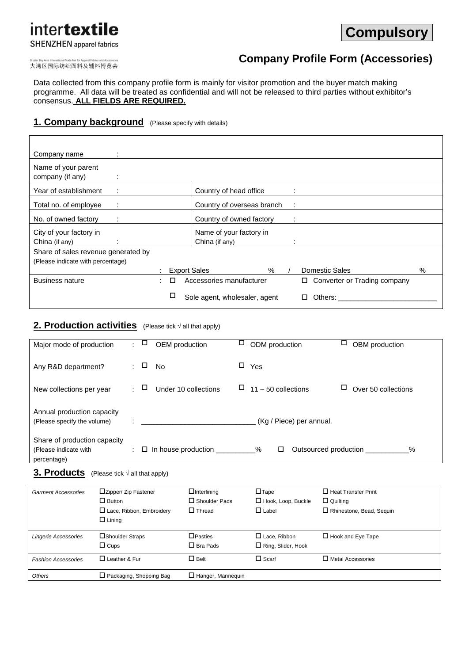# intertextile **SHENZHEN** apparel fabrics



大湾区国际纺织面料及辅料博览会

# **Company Profile Form (Accessories)**

Data collected from this company profile form is mainly for visitor promotion and the buyer match making programme. All data will be treated as confidential and will not be released to third parties without exhibitor's consensus. **ALL FIELDS ARE REQUIRED.** 

## 1. **Company background** (Please specify with details)

| Company name                            |                     |                               |      |        |                                |      |
|-----------------------------------------|---------------------|-------------------------------|------|--------|--------------------------------|------|
| Name of your parent<br>company (if any) |                     |                               |      |        |                                |      |
| Year of establishment<br>÷              |                     | Country of head office        |      |        |                                |      |
| Total no. of employee                   |                     | Country of overseas branch    |      | -11    |                                |      |
| No. of owned factory<br>÷               |                     | Country of owned factory      |      | $\sim$ |                                |      |
| City of your factory in                 |                     | Name of your factory in       |      |        |                                |      |
| China (if any)                          |                     | China (if any)                |      |        |                                |      |
| Share of sales revenue generated by     |                     |                               |      |        |                                |      |
| (Please indicate with percentage)       |                     |                               |      |        |                                |      |
|                                         | <b>Export Sales</b> |                               | $\%$ |        | <b>Domestic Sales</b>          | $\%$ |
| <b>Business nature</b>                  |                     | Accessories manufacturer      |      |        | □ Converter or Trading company |      |
|                                         |                     | Sole agent, wholesaler, agent |      |        | Others:<br>□                   |      |

## **2. Production activities** (Please tick <sup>√</sup> all that apply)

| Major mode of production                                             | ÷. | □              | OEM production             | □ | ODM production           | □ | OBM production                |
|----------------------------------------------------------------------|----|----------------|----------------------------|---|--------------------------|---|-------------------------------|
| Any R&D department?                                                  |    | □              | <b>No</b>                  | □ | Yes                      |   |                               |
| New collections per year                                             |    | $\cdot$ $\Box$ | Under 10 collections       | ப | $11 - 50$ collections    |   | Over 50 collections           |
| Annual production capacity<br>(Please specify the volume)            |    |                |                            |   | (Kg / Piece) per annual. |   |                               |
| Share of production capacity<br>(Please indicate with<br>percentage) |    |                | $\Box$ In house production |   | %<br>□                   |   | Outsourced production<br>$\%$ |

## **3. Products** (Please tick √ all that apply)

| <b>Garment Accessories</b> | □Zipper/ Zip Fastener<br>$\Box$ Button<br>$\Box$ Lace, Ribbon, Embroidery<br>$\Box$ Lining | $\Box$ Interlining<br>$\Box$ Shoulder Pads<br>$\Box$ Thread | $\Box$ Tape<br>Hook, Loop, Buckle<br>$\Box$ Label | $\Box$ Heat Transfer Print<br>$\Box$ Quilting<br>□ Rhinestone, Bead, Sequin |
|----------------------------|--------------------------------------------------------------------------------------------|-------------------------------------------------------------|---------------------------------------------------|-----------------------------------------------------------------------------|
| Lingerie Accessories       | □Shoulder Straps<br>$\Box$ Cups                                                            | $\Box$ Pasties<br>$\Box$ Bra Pads                           | $\Box$ Lace, Ribbon<br>$\Box$ Ring, Slider, Hook  | $\Box$ Hook and Eye Tape                                                    |
| <b>Fashion Accessories</b> | $\Box$ Leather & Fur                                                                       | $\Box$ Belt                                                 | $\Box$ Scarf                                      | $\Box$ Metal Accessories                                                    |
| <b>Others</b>              | $\Box$ Packaging, Shopping Bag                                                             | $\Box$ Hanger, Mannequin                                    |                                                   |                                                                             |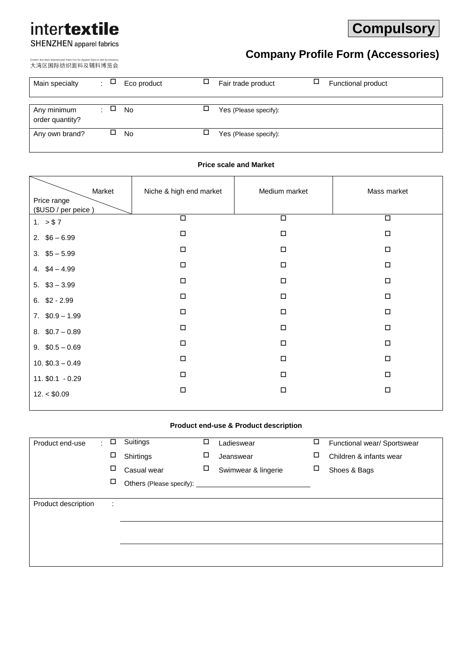# intertextile

# **Compulsory**

# **SHENZHEN** apparel fabrics

## 大湾区国际纺织面料及辅料博览会

# **Company Profile Form (Accessories)**

| Main specialty                 | $\Box$<br>$\mathcal{L}$ | Eco product | Fair trade product    | ⊔ | Functional product |
|--------------------------------|-------------------------|-------------|-----------------------|---|--------------------|
| Any minimum<br>order quantity? | □                       | No          | Yes (Please specify): |   |                    |
| Any own brand?                 |                         | <b>No</b>   | Yes (Please specify): |   |                    |

## **Price scale and Market**

| Market                             | Niche & high end market | Medium market | Mass market |
|------------------------------------|-------------------------|---------------|-------------|
| Price range<br>(\$USD / per peice) |                         |               |             |
| 1. $> $7$                          | $\Box$                  | $\Box$        | $\Box$      |
| 2. $$6 - 6.99$                     | $\Box$                  | $\Box$        | $\Box$      |
| $3.$ \$5 - 5.99                    | $\Box$                  | $\Box$        | $\Box$      |
| 4. $$4 - 4.99$                     | $\Box$                  | $\Box$        | $\Box$      |
| $5.$ $$3 - 3.99$                   | $\Box$                  | $\Box$        | $\Box$      |
| $6.$ \$2 - 2.99                    | $\Box$                  | $\Box$        | $\Box$      |
| $7.$ \$0.9 - 1.99                  | $\Box$                  | $\Box$        | $\Box$      |
| 8. $$0.7 - 0.89$                   | $\Box$                  | $\Box$        | $\Box$      |
| 9. $$0.5 - 0.69$                   | $\Box$                  | $\Box$        | $\Box$      |
| 10. $$0.3 - 0.49$                  | $\Box$                  | $\Box$        | $\Box$      |
| $11.$ \$0.1 - 0.29                 | $\Box$                  | $\Box$        | $\Box$      |
| 12. < \$0.09                       | $\Box$                  | $\Box$        | $\Box$      |

## **Product end-use & Product description**

| Product end-use     | ÷. | □                         | Suitings    | □ | Ladieswear          | □ | Functional wear/ Sportswear |
|---------------------|----|---------------------------|-------------|---|---------------------|---|-----------------------------|
|                     |    | □                         | Shirtings   | □ | Jeanswear           | □ | Children & infants wear     |
|                     |    | □                         | Casual wear | □ | Swimwear & lingerie | П | Shoes & Bags                |
|                     |    | $\Box$                    |             |   |                     |   |                             |
|                     |    |                           |             |   |                     |   |                             |
| Product description |    | ٠<br>$\ddot{\phantom{a}}$ |             |   |                     |   |                             |
|                     |    |                           |             |   |                     |   |                             |
|                     |    |                           |             |   |                     |   |                             |
|                     |    |                           |             |   |                     |   |                             |
|                     |    |                           |             |   |                     |   |                             |
|                     |    |                           |             |   |                     |   |                             |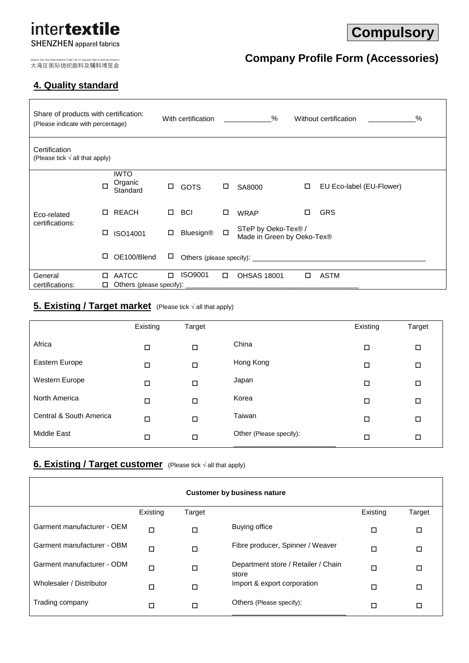## intertextile **SHENZHEN** apparel fabrics

# **Compulsory**

**Company Profile Form (Accessories)**

大湾区国际纺织面料及辅料博览会

## **4. Quality standard**

## Share of products with certification: (Please indicate with percentage) With certification \_\_\_\_\_\_\_\_\_\_\_% Without certification \_\_\_\_\_\_\_\_\_\_\_\_% **Certification** (Please tick  $\sqrt{ }$  all that apply) Eco-related certifications:  $\Box$ IWTO Organic<br>Standard □ GOTS □ SA8000 □ EU Eco-label (EU-Flower) REACH BCI WRAP GRS □ ISO14001 □ Bluesign® □ STeP by Oeko-Tex® / Made in Green by Oeko-Tex®  $\Box$  OE100/Blend  $\Box$  Others (please specify): General certifications: AATCC ISO9001 OHSAS 18001 ASTM  $\Box$  Others (please specify):

## **5. Existing / Target market** (Please tick √ all that apply)

|                         | Existing | Target |                         | Existing | Target |
|-------------------------|----------|--------|-------------------------|----------|--------|
| Africa                  | □        | □      | China                   | □        | □      |
| Eastern Europe          | П        | □      | Hong Kong               | □        | □      |
| Western Europe          | □        | □      | Japan                   | □        | □      |
| North America           | □        | □      | Korea                   | □        | □      |
| Central & South America | $\Box$   | □      | Taiwan                  | □        | □      |
| <b>Middle East</b>      | □        | □      | Other (Please specify): | □        | □      |

## **<u>6. Existing / Target customer</u>** (Please tick √ all that apply)

| <b>Customer by business nature</b> |          |        |                                              |          |        |  |
|------------------------------------|----------|--------|----------------------------------------------|----------|--------|--|
|                                    | Existing | Target |                                              | Existing | Target |  |
| Garment manufacturer - OEM         | $\Box$   | □      | Buying office                                | □        | □      |  |
| Garment manufacturer - OBM         | $\Box$   | □      | Fibre producer, Spinner / Weaver             | ◻        | □      |  |
| Garment manufacturer - ODM         | $\Box$   | □      | Department store / Retailer / Chain<br>store | ◻        | □      |  |
| Wholesaler / Distributor           | □        | □      | Import & export corporation                  | ◻        | □      |  |
| Trading company                    | □        | п      | Others (Please specify):                     | ◻        | □      |  |